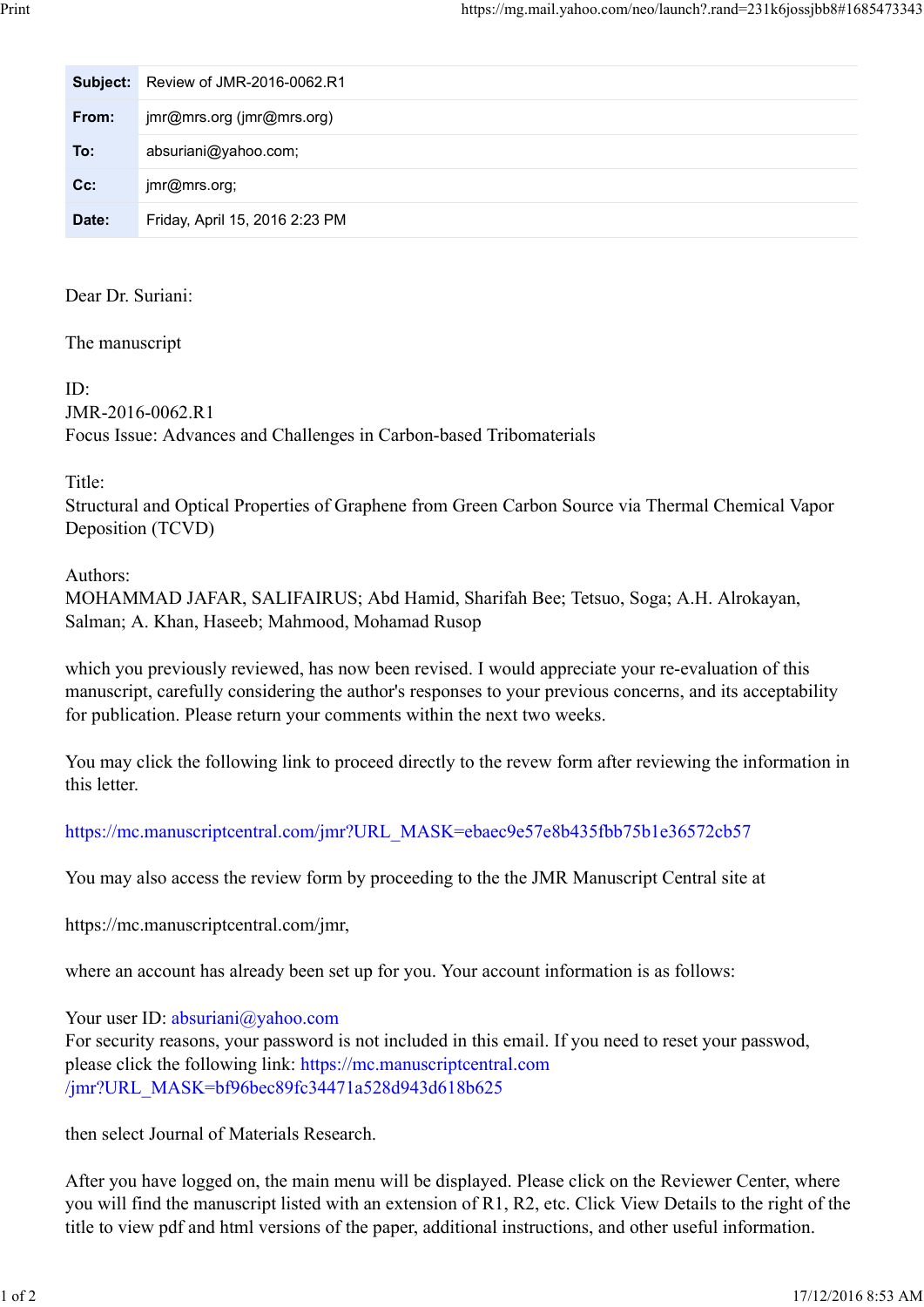| Print |          |                                | https://mg.mail.yahoo.com/neo/launch?.rand=231k6jossjbb8#1685473343 |
|-------|----------|--------------------------------|---------------------------------------------------------------------|
|       | Subject: | Review of JMR-2016-0062.R1     |                                                                     |
|       | From:    | jmr@mrs.org (jmr@mrs.org)      |                                                                     |
|       | To:      | absuriani@yahoo.com;           |                                                                     |
|       | Cc:      | jmr@mrs.org;                   |                                                                     |
|       | Date:    | Friday, April 15, 2016 2:23 PM |                                                                     |

Dear Dr. Suriani:

The manuscript

 $ID<sup>2</sup>$ 

JMR-2016-0062.R1 Focus Issue: Advances and Challenges in Carbon-based Tribomaterials

Title:

Structural and Optical Properties of Graphene from Green Carbon Source via Thermal Chemical Vapor Deposition (TCVD)

Authors:

MOHAMMAD JAFAR, SALIFAIRUS; Abd Hamid, Sharifah Bee; Tetsuo, Soga; A.H. Alrokayan, Salman; A. Khan, Haseeb; Mahmood, Mohamad Rusop

which you previously reviewed, has now been revised. I would appreciate your re-evaluation of this manuscript, carefully considering the author's responses to your previous concerns, and its acceptability for publication. Please return your comments within the next two weeks.

You may click the following link to proceed directly to the revew form after reviewing the information in this letter.

https://mc.manuscriptcentral.com/jmr?URL\_MASK=ebaec9e57e8b435fbb75b1e36572cb57

You may also access the review form by proceeding to the the JMR Manuscript Central site at

https://mc.manuscriptcentral.com/jmr,

where an account has already been set up for you. Your account information is as follows:

Your user ID: absuriani@yahoo.com

For security reasons, your password is not included in this email. If you need to reset your passwod, please click the following link: https://mc.manuscriptcentral.com /jmr?URL\_MASK=bf96bec89fc34471a528d943d618b625

then select Journal of Materials Research.

After you have logged on, the main menu will be displayed. Please click on the Reviewer Center, where you will find the manuscript listed with an extension of R1, R2, etc. Click View Details to the right of the title to view pdf and html versions of the paper, additional instructions, and other useful information. https://mc.manuscriptcentral.com/jmr,<br>where an account has already been set up for you. Your account information is as follows:<br>Your user ID: absuriani@yahoo.com<br>For security reasons, your password is not included in this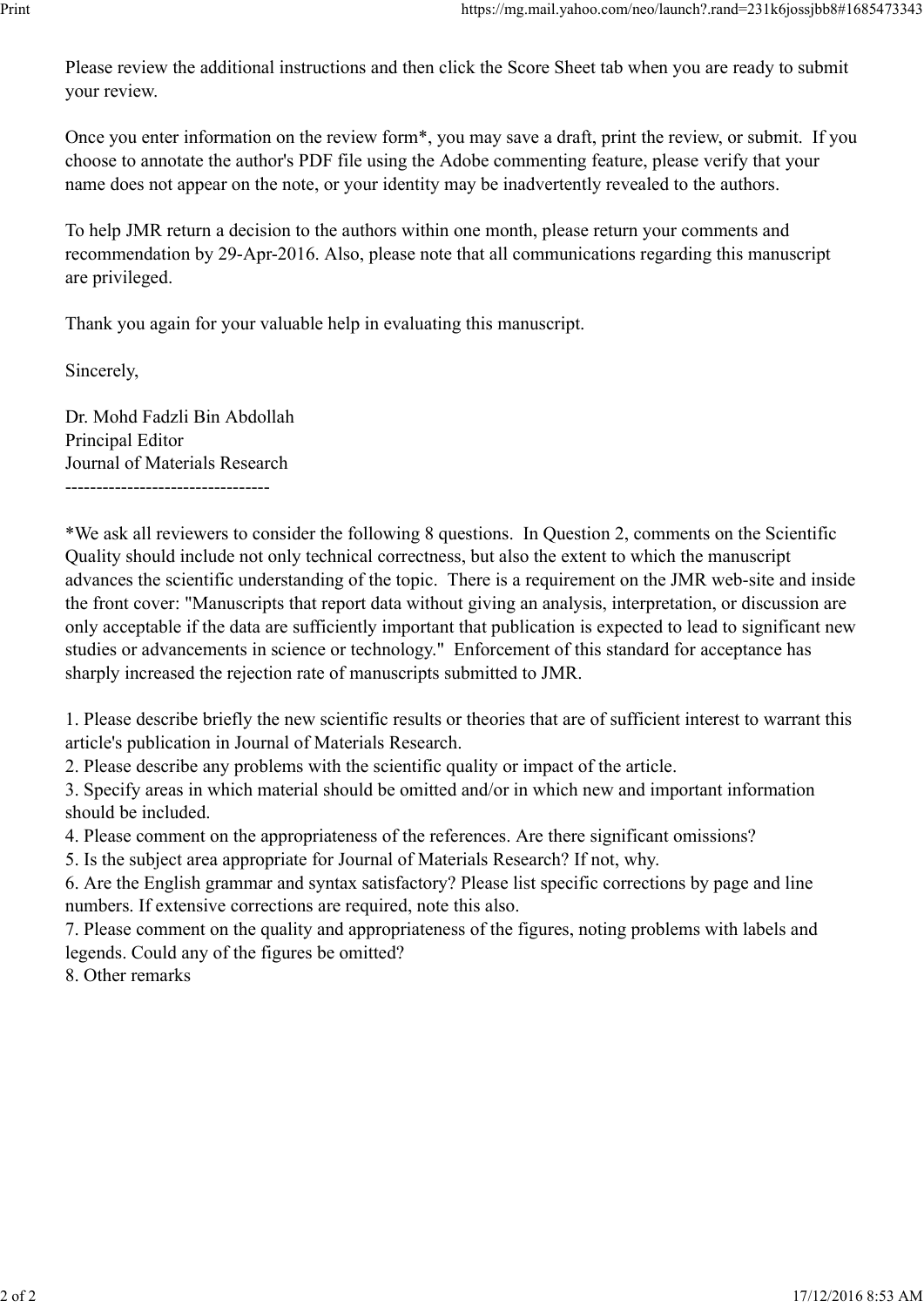Please review the additional instructions and then click the Score Sheet tab when you are ready to submit your review. Print<br>Please review the additional instructions and then click the Score Sheet tab when you are ready to submit<br>your review.

Once you enter information on the review form\*, you may save a draft, print the review, or submit. If you choose to annotate the author's PDF file using the Adobe commenting feature, please verify that your name does not appear on the note, or your identity may be inadvertently revealed to the authors.

To help JMR return a decision to the authors within one month, please return your comments and recommendation by 29-Apr-2016. Also, please note that all communications regarding this manuscript are privileged.

Thank you again for your valuable help in evaluating this manuscript.

Sincerely,

Dr. Mohd Fadzli Bin Abdollah Principal Editor Journal of Materials Research ---------------------------------

\*We ask all reviewers to consider the following 8 questions. In Question 2, comments on the Scientific Quality should include not only technical correctness, but also the extent to which the manuscript advances the scientific understanding of the topic. There is a requirement on the JMR web-site and inside the front cover: "Manuscripts that report data without giving an analysis, interpretation, or discussion are only acceptable if the data are sufficiently important that publication is expected to lead to significant new studies or advancements in science or technology." Enforcement of this standard for acceptance has sharply increased the rejection rate of manuscripts submitted to JMR.

1. Please describe briefly the new scientific results or theories that are of sufficient interest to warrant this article's publication in Journal of Materials Research.

2. Please describe any problems with the scientific quality or impact of the article.

3. Specify areas in which material should be omitted and/or in which new and important information should be included.

4. Please comment on the appropriateness of the references. Are there significant omissions?

5. Is the subject area appropriate for Journal of Materials Research? If not, why.

6. Are the English grammar and syntax satisfactory? Please list specific corrections by page and line numbers. If extensive corrections are required, note this also.

7. Please comment on the quality and appropriateness of the figures, noting problems with labels and legends. Could any of the figures be omitted? numbers. If extensive corrections are required, note this also.<br>
2. Please comment on the quality and appropriateness of the figures, noting problems with labels and<br>
legends. Could any of the figures be omitted?<br>
8. Other

8. Other remarks